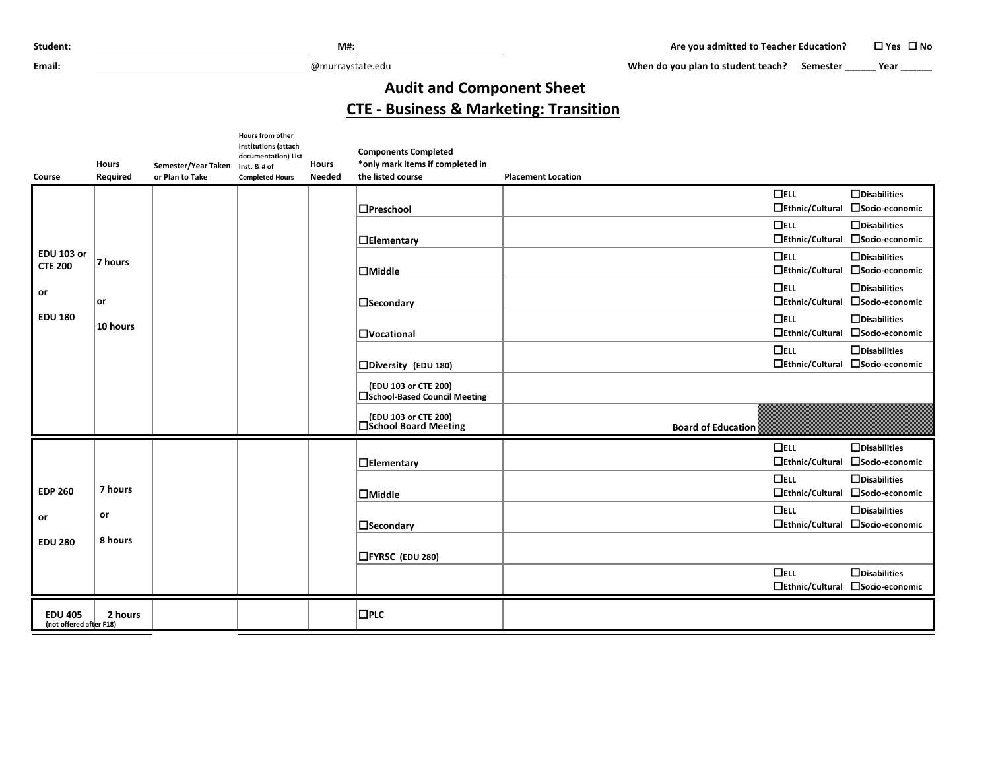**Email:** @murraystate.edu

When do you plan to student teach? Semester **\_\_\_\_\_\_** Year **\_\_\_\_\_\_** 

## **Audit and Component Sheet CTE - Business & Marketing: Transition**

| Course                                    | <b>Hours</b><br>Required | Semester/Year Taken Inst. & # of<br>or Plan to Take | Hours from other<br><b>Institutions (attach</b><br>documentation) List<br><b>Completed Hours</b> | <b>Hours</b><br><b>Needed</b> | <b>Components Completed</b><br>*only mark items if completed in<br>the listed course | <b>Placement Location</b> |                        |                                        |
|-------------------------------------------|--------------------------|-----------------------------------------------------|--------------------------------------------------------------------------------------------------|-------------------------------|--------------------------------------------------------------------------------------|---------------------------|------------------------|----------------------------------------|
|                                           |                          |                                                     |                                                                                                  |                               | $\Box$ Preschool                                                                     | $\Box$ ELL                | $\Box$ Ethnic/Cultural | $\Box$ Disabilities<br>□Socio-economic |
|                                           |                          |                                                     |                                                                                                  |                               |                                                                                      | $\Box$ ELL                |                        | $\Box$ Disabilities                    |
|                                           |                          |                                                     |                                                                                                  |                               | $\Box$ Elementary                                                                    |                           | $\Box$ Ethnic/Cultural | □Socio-economic                        |
| <b>EDU 103 or</b>                         | 7 hours                  |                                                     |                                                                                                  |                               |                                                                                      | $\Box$ ELL                |                        | $\Box$ Disabilities                    |
| <b>CTE 200</b>                            |                          |                                                     |                                                                                                  |                               | $\Box$ Middle                                                                        |                           | $\Box$ Ethnic/Cultural | □Socio-economic                        |
| or                                        | or                       |                                                     |                                                                                                  |                               | $\Box$ Secondary                                                                     | $\Box$ ELL                | □Ethnic/Cultural       | $\Box$ Disabilities<br>□Socio-economic |
| <b>EDU 180</b>                            |                          |                                                     |                                                                                                  |                               |                                                                                      | $\Box$ ELL                |                        | $\Box$ Disabilities                    |
|                                           | 10 hours                 |                                                     |                                                                                                  |                               | $\Box$ Vocational                                                                    |                           | $\Box$ Ethnic/Cultural | □Socio-economic                        |
|                                           |                          |                                                     |                                                                                                  |                               | □Diversity (EDU 180)                                                                 | $\Box$ ELL                | $\Box$ Ethnic/Cultural | $\Box$ Disabilities<br>□Socio-economic |
|                                           |                          |                                                     |                                                                                                  |                               |                                                                                      |                           |                        |                                        |
|                                           |                          |                                                     |                                                                                                  |                               | (EDU 103 or CTE 200)<br>□School-Based Council Meeting                                |                           |                        |                                        |
|                                           |                          |                                                     |                                                                                                  |                               | (EDU 103 or CTE 200)<br>□School Board Meeting                                        | <b>Board of Education</b> |                        |                                        |
|                                           |                          |                                                     |                                                                                                  |                               |                                                                                      | $\Box$ ELL                |                        | $\Box$ Disabilities                    |
|                                           |                          |                                                     |                                                                                                  |                               | $\Box$ Elementary                                                                    |                           | □Ethnic/Cultural       | □Socio-economic                        |
|                                           | 7 hours                  |                                                     |                                                                                                  |                               |                                                                                      | $\Box$ ELL                |                        | $\Box$ Disabilities                    |
| <b>EDP 260</b>                            |                          |                                                     |                                                                                                  |                               | $\Box$ Middle                                                                        |                           | $\Box$ Ethnic/Cultural | □Socio-economic                        |
| or                                        | or                       |                                                     |                                                                                                  |                               |                                                                                      | $\Box$ ELL                | $\Box$ Ethnic/Cultural | $\Box$ Disabilities<br>□Socio-economic |
|                                           | 8 hours                  |                                                     |                                                                                                  |                               | $\square$ Secondary                                                                  |                           |                        |                                        |
| <b>EDU 280</b>                            |                          |                                                     |                                                                                                  |                               | <b>CHYRSC (EDU 280)</b>                                                              |                           |                        |                                        |
|                                           |                          |                                                     |                                                                                                  |                               |                                                                                      | $\Box$ ELL                |                        | $\Box$ Disabilities                    |
|                                           |                          |                                                     |                                                                                                  |                               |                                                                                      |                           | $\Box$ Ethnic/Cultural | □Socio-economic                        |
| <b>EDU 405</b><br>(not offered after F18) | 2 hours                  |                                                     |                                                                                                  |                               | $\Box$ PLC                                                                           |                           |                        |                                        |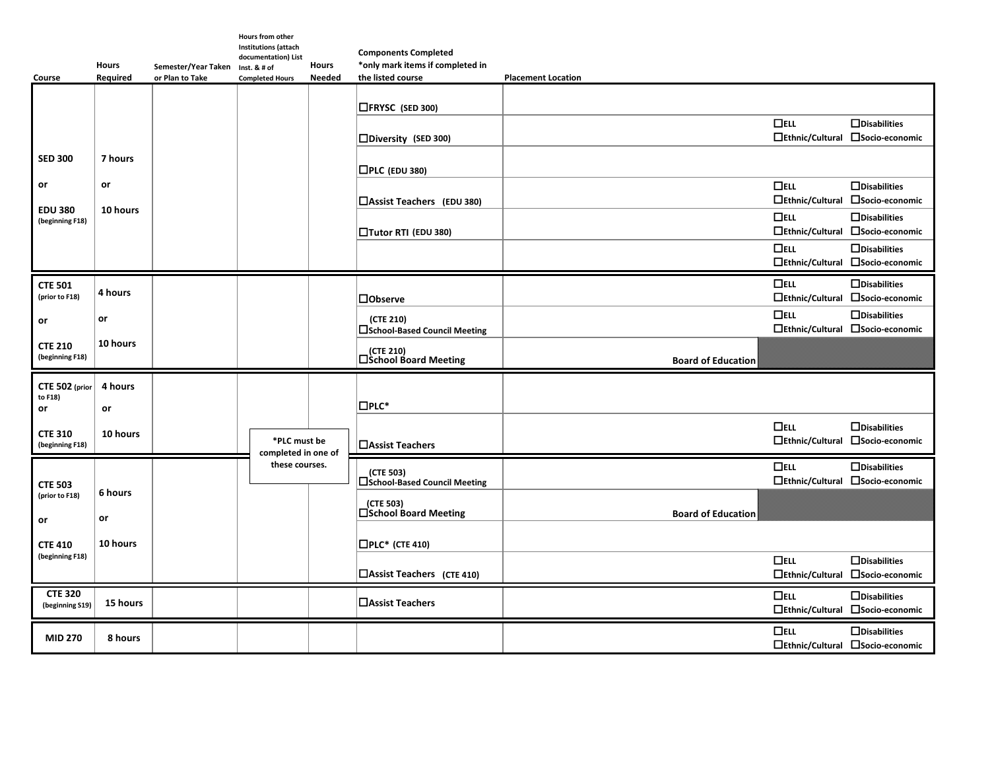| Course                                  | <b>Hours</b><br>Required | Semester/Year Taken Inst. & # of<br>or Plan to Take | <b>Hours from other</b><br>Institutions (attach<br>documentation) List<br><b>Completed Hours</b> | <b>Hours</b><br><b>Needed</b> | <b>Components Completed</b><br>*only mark items if completed in<br>the listed course | <b>Placement Location</b>            |                                                         |
|-----------------------------------------|--------------------------|-----------------------------------------------------|--------------------------------------------------------------------------------------------------|-------------------------------|--------------------------------------------------------------------------------------|--------------------------------------|---------------------------------------------------------|
|                                         |                          |                                                     |                                                                                                  |                               | □FRYSC (SED 300)                                                                     |                                      |                                                         |
|                                         |                          |                                                     |                                                                                                  |                               | □Diversity (SED 300)                                                                 | $\Box$ ELL                           | $\Box$ Disabilities<br>□Ethnic/Cultural □Socio-economic |
| <b>SED 300</b>                          | 7 hours                  |                                                     |                                                                                                  |                               | $\Box$ PLC (EDU 380)                                                                 |                                      |                                                         |
| or<br><b>EDU 380</b><br>(beginning F18) | or<br>10 hours           |                                                     |                                                                                                  |                               | $\Box$ Assist Teachers (EDU 380)                                                     | $\Box$ ELL<br>$\Box$ Ethnic/Cultural | $\Box$ Disabilities<br>□Socio-economic                  |
|                                         |                          |                                                     |                                                                                                  |                               | □Tutor RTI (EDU 380)                                                                 | $\Box$ ELL<br>$\Box$ Ethnic/Cultural | $\Box$ Disabilities<br>□Socio-economic                  |
|                                         |                          |                                                     |                                                                                                  |                               |                                                                                      | $\Box$ ELL                           | $\Box$ Disabilities<br>□Ethnic/Cultural □Socio-economic |
| <b>CTE 501</b><br>(prior to F18)        | 4 hours                  |                                                     |                                                                                                  |                               | <b>□Observe</b>                                                                      | $\Box$ ELL                           | $\Box$ Disabilities<br>□Ethnic/Cultural □Socio-economic |
| or                                      | or                       |                                                     |                                                                                                  |                               | (CTE 210)<br>□School-Based Council Meeting                                           | $\Box$ ELL<br>$\Box$ Ethnic/Cultural | $\Box$ Disabilities<br>□Socio-economic                  |
| <b>CTE 210</b><br>(beginning F18)       | 10 hours                 |                                                     |                                                                                                  |                               | (CTE 210)<br>□School Board Meeting                                                   | <b>Board of Education</b>            |                                                         |
| CTE 502 (prior<br>to F18)<br>or         | 4 hours<br>or            |                                                     |                                                                                                  |                               | $\square$ PLC*                                                                       |                                      |                                                         |
| <b>CTE 310</b><br>(beginning F18)       | 10 hours                 |                                                     | *PLC must be<br>completed in one of                                                              |                               | <b>□Assist Teachers</b>                                                              | $\Box$ ELL<br>$\Box$ Ethnic/Cultural | $\Box$ Disabilities<br>□Socio-economic                  |
| <b>CTE 503</b>                          |                          |                                                     | these courses.                                                                                   |                               | (CTE 503)<br>□School-Based Council Meeting                                           | $\Box$ ELL                           | $\Box$ Disabilities<br>□Ethnic/Cultural □Socio-economic |
| (prior to F18)<br>$\mathsf{or}\,$       | 6 hours<br>or            |                                                     |                                                                                                  |                               | (CTE 503)<br>□School Board Meeting                                                   | <b>Board of Education</b>            |                                                         |
| <b>CTE 410</b>                          | 10 hours                 |                                                     |                                                                                                  |                               | $\Box$ PLC* (CTE 410)                                                                |                                      |                                                         |
| (beginning F18)                         |                          |                                                     |                                                                                                  |                               | □Assist Teachers (CTE 410)                                                           | $\Box$ ELL<br>$\Box$ Ethnic/Cultural | $\Box$ Disabilities<br>□Socio-economic                  |
| <b>CTE 320</b><br>(beginning S19)       | 15 hours                 |                                                     |                                                                                                  |                               | □ Assist Teachers                                                                    | $\Box$ ELL                           | $\Box$ Disabilities<br>□Ethnic/Cultural □Socio-economic |
| <b>MID 270</b>                          | 8 hours                  |                                                     |                                                                                                  |                               |                                                                                      | $\Box$ ELL                           | $\Box$ Disabilities<br>□Ethnic/Cultural □Socio-economic |